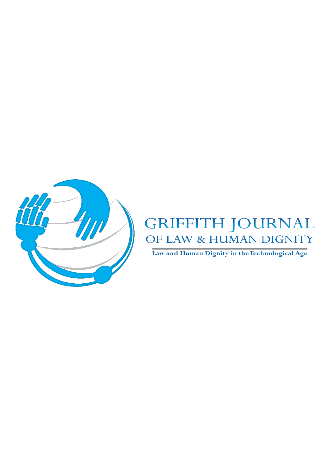

# GRIFFITH JOURNAL OF LAW & HUMAN DIGNITY

Law and Human Dignity in the Technological Age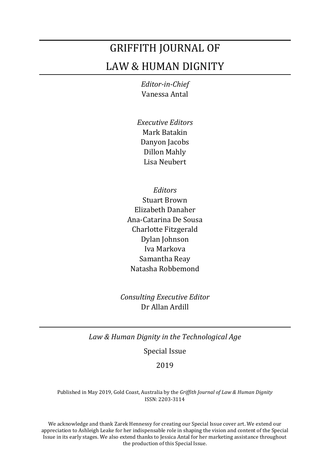# GRIFFITH JOURNAL OF LAW & HUMAN DIGNITY

*Editor-in-Chief* Vanessa Antal

- *Executive Editors* Mark Batakin Danyon Jacobs Dillon Mahly Lisa Neubert
- *Editors* Stuart Brown Elizabeth Danaher Ana-Catarina De Sousa Charlotte Fitzgerald Dylan Johnson Iva Markova Samantha Reay Natasha Robbemond

*Consulting Executive Editor* Dr Allan Ardill

*Law & Human Dignity in the Technological Age*

Special Issue

## 2019

Published in May 2019, Gold Coast, Australia by the *Griffith Journal of Law & Human Dignity* ISSN: 2203-3114

We acknowledge and thank Zarek Hennessy for creating our Special Issue cover art. We extend our appreciation to Ashleigh Leake for her indispensable role in shaping the vision and content of the Special Issue in its early stages. We also extend thanks to Jessica Antal for her marketing assistance throughout the production of this Special Issue.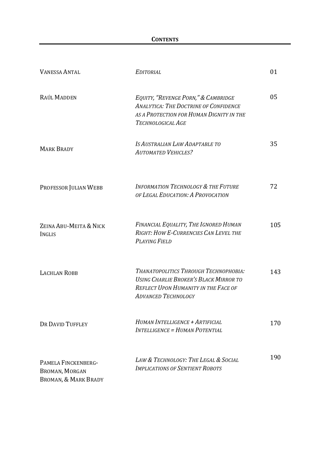| <b>VANESSA ANTAL</b>                                          | <b>EDITORIAL</b>                                                                                                                                                    | 01  |
|---------------------------------------------------------------|---------------------------------------------------------------------------------------------------------------------------------------------------------------------|-----|
| RAÚL MADDEN                                                   | EQUITY, "REVENGE PORN," & CAMBRIDGE<br><b>ANALYTICA: THE DOCTRINE OF CONFIDENCE</b><br>AS A PROTECTION FOR HUMAN DIGNITY IN THE<br>TECHNOLOGICAL AGE                | 05  |
| <b>MARK BRADY</b>                                             | IS AUSTRALIAN LAW ADAPTABLE TO<br><b>AUTOMATED VEHICLES?</b>                                                                                                        | 35  |
| PROFESSOR JULIAN WEBB                                         | <b>INFORMATION TECHNOLOGY &amp; THE FUTURE</b><br>OF LEGAL EDUCATION: A PROVOCATION                                                                                 | 72  |
| ZEINA ABU-MEITA & NICK<br><b>INGLIS</b>                       | FINANCIAL EQUALITY, THE IGNORED HUMAN<br>RIGHT: HOW E-CURRENCIES CAN LEVEL THE<br><b>PLAYING FIELD</b>                                                              | 105 |
| <b>LACHLAN ROBB</b>                                           | THANATOPOLITICS THROUGH TECHNOPHOBIA:<br><b>USING CHARLIE BROKER'S BLACK MIRROR TO</b><br><b>REFLECT UPON HUMANITY IN THE FACE OF</b><br><b>ADVANCED TECHNOLOGY</b> | 143 |
| DR DAVID TUFFLEY                                              | HUMAN INTELLIGENCE + ARTIFICIAL<br><b>INTELLIGENCE = HUMAN POTENTIAL</b>                                                                                            | 170 |
| PAMELA FINCKENBERG-<br>BROMAN, MORGAN<br>BROMAN, & MARK BRADY | LAW & TECHNOLOGY: THE LEGAL & SOCIAL<br><b>IMPLICATIONS OF SENTIENT ROBOTS</b>                                                                                      | 190 |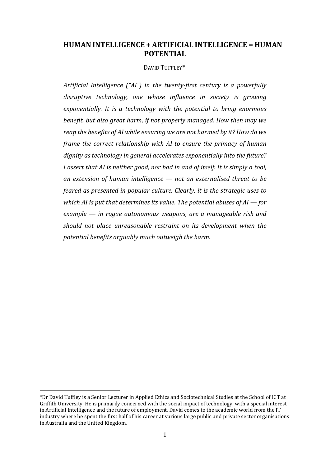# **HUMANINTELLIGENCE + ARTIFICIAL INTELLIGENCE = HUMAN POTENTIAL**

DAVID TUFFLEY\*

*Artificial Intelligence ("AI") in the twenty-first century is a powerfully disruptive technology, one whose influence in society is growing exponentially. It is a technology with the potential to bring enormous benefit, but also great harm, if not properly managed. How then may we reap the benefits of AI while ensuring we are not harmed by it? How do we frame the correct relationship with AI to ensure the primacy of human dignity as technology in general accelerates exponentially into the future? I assert that AI is neither good, nor bad in and of itself. It is simply a tool, an extension of human intelligence — not an externalised threat to be feared as presented in popular culture. Clearly, it is the strategic uses to which AI is put that determines its value. The potential abuses of AI — for example — in rogue autonomous weapons, are a manageable risk and should not place unreasonable restraint on its development when the potential benefits arguably much outweigh the harm.* 

<span id="page-3-0"></span>i, \*Dr David Tuffley is a Senior Lecturer in Applied Ethics and Sociotechnical Studies at the School of ICT at Griffith University. He is primarily concerned with the social impact of technology, with a special interest in Artificial Intelligence and the future of employment. David comes to the academic world from the IT industry where he spent the first half of his career at various large public and private sector organisations in Australia and the United Kingdom.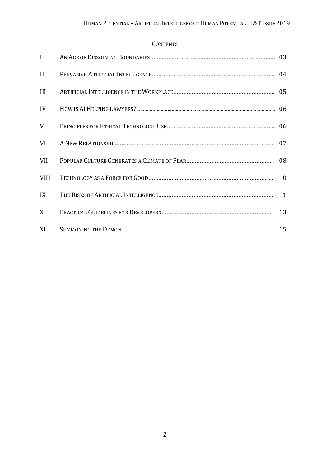## **CONTENTS**

| $\mathbf{I}$ |  |
|--------------|--|
| $\mathbf{I}$ |  |
| III          |  |
| IV           |  |
| V            |  |
| VI           |  |
| <b>VII</b>   |  |
| <b>VIII</b>  |  |
| IX           |  |
| X            |  |
| XI           |  |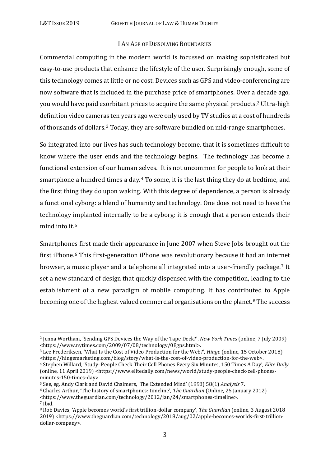#### I AN AGE OF DISSOLVING BOUNDARIES

Commercial computing in the modern world is focussed on making sophisticated but easy-to-use products that enhance the lifestyle of the user. Surprisingly enough, some of this technology comes at little or no cost. Devices such as GPS and video-conferencing are now software that is included in the purchase price of smartphones. Over a decade ago, you would have paid exorbitant prices to acquire the same physical products.[2](#page-5-0) Ultra-high definition video cameras ten years ago were only used by TV studios at a cost of hundreds of thousands of dollars.[3](#page-5-1) Today, they are software bundled on mid-range smartphones.

So integrated into our lives has such technology become, that it is sometimes difficult to know where the user ends and the technology begins. The technology has become a functional extension of our human selves. It is not uncommon for people to look at their smartphone a hundred times a day.[4](#page-5-2) To some, it is the last thing they do at bedtime, and the first thing they do upon waking. With this degree of dependence, a person is already a functional cyborg: a blend of humanity and technology. One does not need to have the technology i[m](#page-5-3)planted internally to be a cyborg: it is enough that a person extends their mind into it. 5

Smartphon[es](#page-5-4) first made their appearance in June 2007 when Steve Jobs brought out the first iPhone.6 This first-generation iPhone was revolutionary because it had an internet browser, a music player and a telephone all integrated into a user-friendly package.[7](#page-5-5) It set a new standard of design that quickly dispensed with the competition, leading to the establishment of a new paradigm of mobile computing. It has contrib[ute](#page-5-6)d to Apple becoming one of the highest valued commercial organisations on the planet. <sup>8</sup> The success

<span id="page-5-0"></span> <sup>2</sup> Jenna Wortham, 'Sending GPS Devices the Way of the Tape Deck?', *New York Times* (online, 7 July 2009) <https://www.nytimes.com/2009/07/08/technology/08gps.html>.

<span id="page-5-1"></span><sup>3</sup> Lee Frederiksen, 'What Is the Cost of Video Production for the Web?', *Hinge* (online, 15 October 2018) <https://hingemarketing.com/blog/story/what-is-the-cost-of-video-production-for-the-web>.

<span id="page-5-2"></span><sup>4</sup> Stephen Willard, 'Study: People Check Their Cell Phones Every Six Minutes, 150 Times A Day', *Elite Daily* (online, 11 April 2019) <https://www.elitedaily.com/news/world/study-people-check-cell-phonesminutes-150-times-day>.

<span id="page-5-3"></span><sup>5</sup> See, eg, Andy Clark and David Chalmers, 'The Extended Mind' (1998) 58(1) *Analysis* 7.

<span id="page-5-4"></span><sup>6</sup> Charles Arthur, 'The history of smartphones: timeline', *The Guardian* (Online, 25 January 2012)

<span id="page-5-5"></span><sup>&</sup>lt;https://www.theguardian.com/technology/2012/jan/24/smartphones-timeline>. <sup>7</sup> Ibid.

<span id="page-5-6"></span><sup>8</sup> Rob Davies, 'Apple becomes world's first trillion-dollar company', *The Guardian* (online, 3 August 2018 2019) <https://www.theguardian.com/technology/2018/aug/02/apple-becomes-worlds-first-trilliondollar-company>.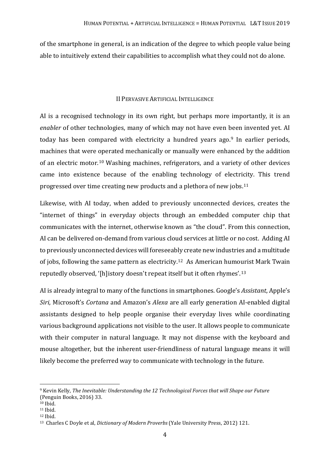of the smartphone in general, is an indication of the degree to which people value being able to intuitively extend their capabilities to accomplish what they could not do alone.

## II PERVASIVE ARTIFICIAL INTELLIGENCE

AI is a recognised technology in its own right, but perhaps more importantly, it is an *enabler* of other technologies, many of which may not have even been invented yet. AI today has been compared with electricity a hundred years ago.[9](#page-6-0) In earlier periods, machines that were [op](#page-6-1)erated mechanically or manually were enhanced by the addition of an electric motor. <sup>10</sup> Washing machines, refrigerators, and a variety of other devices came into existence because of the enabling technology of electricity. This trend progressed over time creating new products and a plethora of new jobs.[11](#page-6-2) 

Likewise, with AI today, when added to previously unconnected devices, creates the "internet of things" in everyday objects through an embedded computer chip that communicates with the internet, otherwise known as "the cloud". From this connection, AI can be delivered on-demand from various cloud services at little or no cost. Adding AI to previously unconnected devices will foreseeab[ly](#page-6-3) create new industries and a multitude of jobs, following the same pattern as electricity. <sup>12</sup> As American humourist Mark Twain reputedly observed, '[h]istory doesn't repeat itself but it often rhymes'.[13](#page-6-4)

AI is already integral to many of the functions in smartphones. Google's *Assistant*, Apple's *Siri*, Microsoft's *Cortana* and Amazon's *Alexa* are all early generation AI-enabled digital assistants designed to help people organise their everyday lives while coordinating various background applications not visible to the user. It allows people to communicate with their computer in natural language. It may not dispense with the keyboard and mouse altogether, but the inherent user-friendliness of natural language means it will likely become the preferred way to communicate with technology in the future.

<span id="page-6-0"></span> <sup>9</sup> Kevin Kelly, *The Inevitable: Understanding the 12 Technological Forces that will Shape our Future* (Penguin Books, 2016) 33.

<span id="page-6-1"></span><sup>10</sup> Ibid.

<span id="page-6-2"></span><sup>11</sup> Ibid.

<span id="page-6-3"></span><sup>12</sup> Ibid.

<span id="page-6-4"></span><sup>13</sup> Charles C Doyle et al, *Dictionary of Modern Proverbs* (Yale University Press, 2012) 121.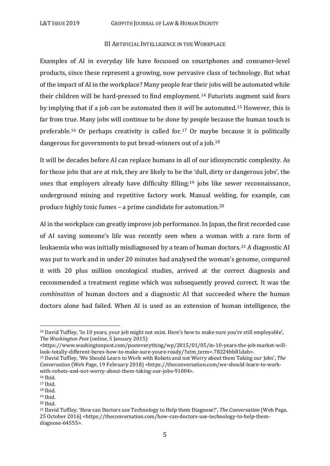#### III ARTIFICIAL INTELLIGENCE IN THE WORKPLACE

Examples of AI in everyday life have focussed on smartphones and consumer-level products, since these represent a growing, now pervasive class of technology. But what of the impact of AI in the workplace? Many people fear their jobs will be automated while their children will be hard-pressed to find employment.[14](#page-7-0) Futurists augment said fears by implying that if a job *can* be automated then it *will* be automated.[15](#page-7-1) However, this is far from tr[ue](#page-7-2). Many jobs will continue to be done by people because the human touch is preferable. <sup>16</sup> Or perhaps creativity is called for.[17](#page-7-3) Or maybe because it is politically dangerous for governments to put bread-winners out of a job.[18](#page-7-4)

It will be decades before AI can replace humans in all of our idiosyncratic complexity. As for those jobs that are at risk, they are likely to be the 'dull, dirty or dangerous jobs', the ones that employers already have difficulty filling;[19](#page-7-5) jobs like sewer reconnaissance, underground mining and repetitive factory work. Manual welding, for example, can produce highly toxic fumes – a prime candidate for automation.[20](#page-7-6)

AI in the workplace can greatly improve job performance. In Japan, the first recorded case of AI saving someone's life was recently seen when a woman with a rare form of leukaemia who was initially misdiagnosed by a team of human doctors.<sup>[21](#page-7-7)</sup> A diagnostic AI was put to work and in under 20 minutes had analysed the woman's genome, compared it with 20 plus million oncological studies, arrived at the correct diagnosis and recommended a treatment regime which was subsequently proved correct. It was the *combination* of human doctors and a diagnostic AI that succeeded where the human doctors alone had failed. When AI is used as an extension of human intelligence, the

<span id="page-7-0"></span> <sup>14</sup> David Tuffley, 'In 10 years, your job might not exist. Here's how to make sure you're still employable', *The Washington Post* (online, 5 January 2015)

<sup>&</sup>lt;https://www.washingtonpost.com/posteverything/wp/2015/01/05/in-10-years-the-job-market-willlook-totally-different-heres-how-to-make-sure-youre-ready/?utm\_term=.78224bb81dab>.

<span id="page-7-1"></span><sup>15</sup> David Tuffley, 'We Should Learn to Work with Robots and not Worry about them Taking our Jobs', *The Conversation* (Web Page, 19 February 2018) <https://theconversation.com/we-should-learn-to-workwith-robots-and-not-worry-about-them-taking-our-jobs-91004>.

<span id="page-7-3"></span><span id="page-7-2"></span> $16$  Ibid.<br> $17$  Ibid.

<span id="page-7-4"></span> $18$  Ibid.

<span id="page-7-5"></span><sup>19</sup> Ibid.

<span id="page-7-6"></span><sup>20</sup> Ibid.

<span id="page-7-7"></span><sup>21</sup> David Tuffley, 'How can Doctors use Technology to Help them Diagnose?', *The Conversation* (Web Page, 25 October 2016) [<https://theconversation.com/how-can-doctors-use-technology-to-help-them](https://theconversation.com/how-can-doctors-use-technology-to-help-them-diagnose-64555)[diagnose-64555>](https://theconversation.com/how-can-doctors-use-technology-to-help-them-diagnose-64555).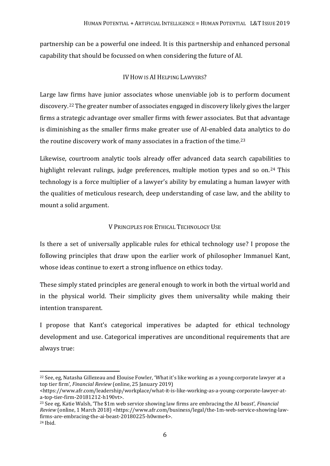partnership can be a powerful one indeed. It is this partnership and enhanced personal capability that should be focussed on when considering the future of AI.

## IV HOW IS AI HELPING LAWYERS?

Large law firms have junior associates whose unenviable job is to perform document discovery.[22](#page-8-0) The greater number of associates engaged in discovery likely gives the larger firms a strategic advantage over smaller firms with fewer associates. But that advantage is diminishing as the smaller firms make greater use of AI-enabled data analytics to do the routine discovery work of many associates in a fraction of the time.<sup>[23](#page-8-1)</sup>

Likewise, courtroom analytic tools already offer advanced data search capabilities to highlight relevant rulings, judge preferences, multiple motion types and so on.<sup>[24](#page-8-2)</sup> This technology is a force multiplier of a lawyer's ability by emulating a human lawyer with the qualities of meticulous research, deep understanding of case law, and the ability to mount a solid argument.

## V PRINCIPLES FOR ETHICAL TECHNOLOGY USE

Is there a set of universally applicable rules for ethical technology use? I propose the following principles that draw upon the earlier work of philosopher Immanuel Kant, whose ideas continue to exert a strong influence on ethics today.

These simply stated principles are general enough to work in both the virtual world and in the physical world. Their simplicity gives them universality while making their intention transparent.

I propose that Kant's categorical imperatives be adapted for ethical technology development and use. Categorical imperatives are unconditional requirements that are always true:

<span id="page-8-0"></span><sup>&</sup>lt;sup>22</sup> See, eg, Natasha Gillezeau and Elouise Fowler, 'What it's like working as a young corporate lawyer at a top tier firm', *Financial Review* (online, 25 January 2019)

<sup>&</sup>lt;https://www.afr.com/leadership/workplace/what-it-is-like-working-as-a-young-corporate-lawyer-ata-top-tier-firm-20181212-h190vt>.

<span id="page-8-2"></span><span id="page-8-1"></span><sup>23</sup> See eg, Katie Walsh, 'The \$1m web service showing law firms are embracing the AI beast', *Financial Review* (online, 1 March 2018) <https://www.afr.com/business/legal/the-1m-web-service-showing-lawfirms-are-embracing-the-ai-beast-20180225-h0wme4>. <sup>24</sup> Ibid.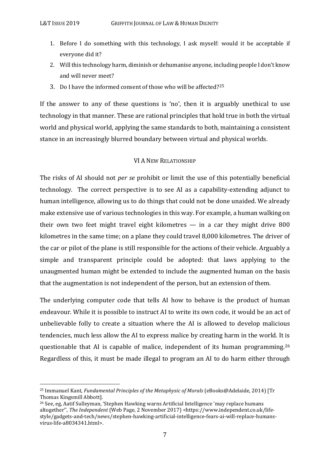- 1. Before I do something with this technology, I ask myself: would it be acceptable if everyone did it?
- 2. Will this technology harm, diminish or dehumanise anyone, including people I don't know and will never meet?
- 3. Do I have the informed consent of those who will be affected?[25](#page-9-0)

If the answer to any of these questions is 'no', then it is arguably unethical to use technology in that manner. These are rational principles that hold true in both the virtual world and physical world, applying the same standards to both, maintaining a consistent stance in an increasingly blurred boundary between virtual and physical worlds.

#### VI A NEW RELATIONSHIP

The risks of AI should not *per se* prohibit or limit the use of this potentially beneficial technology. The correct perspective is to see AI as a capability-extending adjunct to human intelligence, allowing us to do things that could not be done unaided. We already make extensive use of various technologies in this way. For example, a human walking on their own two feet might travel eight kilometres — in a car they might drive 800 kilometres in the same time; on a plane they could travel 8,000 kilometres. The driver of the car or pilot of the plane is still responsible for the actions of their vehicle. Arguably a simple and transparent principle could be adopted: that laws applying to the unaugmented human might be extended to include the augmented human on the basis that the augmentation is not independent of the person, but an extension of them.

The underlying computer code that tells AI how to behave is the product of human endeavour. While it is possible to instruct AI to write its own code, it would be an act of unbelievable folly to create a situation where the AI is allowed to develop malicious tendencies, much less allow the AI to express malice by creating harm in the world. It is questionable that AI is capable of malice, independent of its human programming.[26](#page-9-1) Regardless of this, it must be made illegal to program an AI to do harm either through

<span id="page-9-0"></span> <sup>25</sup> Immanuel Kant*, Fundamental Principles of the Metaphysic of Morals* (eBooks@Adelaide, 2014) [Tr Thomas Kingsmill Abbott].

<span id="page-9-1"></span><sup>26</sup> See, eg, Aatif Sulleyman, 'Stephen Hawking warns Artificial Intelligence 'may replace humans altogether'', *The Independent* (Web Page, 2 November 2017) <https://www.independent.co.uk/lifestyle/gadgets-and-tech/news/stephen-hawking-artificial-intelligence-fears-ai-will-replace-humansvirus-life-a8034341.html>.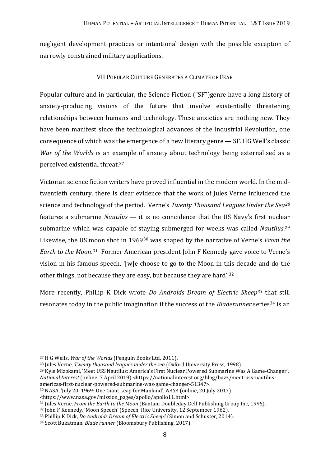negligent development practices or intentional design with the possible exception of narrowly constrained military applications.

## VII POPULAR CULTURE GENERATES A CLIMATE OF FEAR

Popular culture and in particular, the Science Fiction ("SF")genre have a long history of anxiety-producing visions of the future that involve existentially threatening relationships between humans and technology. These anxieties are nothing new. They have been manifest since the technological advances of the Industrial Revolution, one consequence of which was the emergence of a new literary genre — SF. HG Well's classic *War of the Worlds* is an example of anxiety about technology being externalised as a perceived existential threat.[27](#page-10-0)

Victorian science fiction writers have proved influential in the modern world. In the midtwentieth century, there is clear evidence that the work of Jules Verne influenced the science and technology of the period. Verne's *Twenty Thousand Leagues Under the Sea[28](#page-10-1)* features a submarine *Nautilus* — it is no coincidence that the US Navy's first nucle[ar](#page-10-2) submarine which was capable of staying submerged for weeks was called *Nautilus*. 29 Likewise, the US [mo](#page-10-4)on shot in 1969[30](#page-10-3) was shaped by the narrative of Verne's *From the Earth to the Moon*. <sup>31</sup> Former American president John F Kennedy gave voice to Verne's vision in his famous speech, '[w]e choose to go to the Moon in this decade and do the other things, not because they are easy, but because they are hard'.[32](#page-10-5)

More recently, Phillip K Dick wrote *Do Androids Dream of Electric Sheep[33](#page-10-6)* that still resonates today in the public imagination if the success of the *Bladerunner* series[34](#page-10-7) is an

- <span id="page-10-2"></span><sup>29</sup> Kyle Mizokami, 'Meet USS Nautilus: America's First Nuclear Powered Submarine Was A Game-Changer', *National Interest* (online, 7 April 2019) <https://nationalinterest.org/blog/buzz/meet-uss-nautilusamericas-first-nuclear-powered-submarine-was-game-changer-51347>.
- <span id="page-10-3"></span><sup>30</sup> NASA, 'July 20, 1969: One Giant Leap for Mankind', *NASA* (online, 20 July 2017)

<span id="page-10-0"></span> <sup>27</sup> H G Wells, *War of the Worlds* (Penguin Books Ltd, 2011).

<span id="page-10-1"></span><sup>28</sup> Jules Verne, *Twenty thousand leagues under the sea* (Oxford University Press, 1998).

<sup>&</sup>lt;https://www.nasa.gov/mission\_pages/apollo/apollo11.html>.

<span id="page-10-4"></span><sup>31</sup> Jules Verne, *From the Earth to the Moon* (Bantam Doubleday Dell Publishing Group Inc, 1996).

<span id="page-10-5"></span><sup>32</sup> John F Kennedy, 'Moon Speech' (Speech, Rice University, 12 September 1962).

<span id="page-10-6"></span><sup>33</sup> Phillip K Dick, *Do Androids Dream of Electric Sheep?* (Simon and Schuster, 2014).

<span id="page-10-7"></span><sup>34</sup> Scott Bukatman*, Blade runner* (Bloomsbury Publishing, 2017).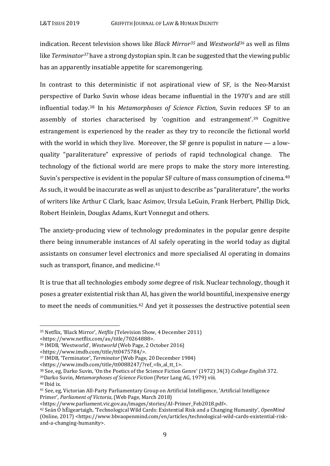indication. Recent television shows like *Black Mirror[35](#page-11-0)* and *Westworld[36](#page-11-1)* as well as films like *Terminator[37](#page-11-2)* have a strong dystopian spin. It can be suggested that the viewing public has an apparently insatiable appetite for scaremongering.

In contrast to this deterministic if not aspirational view of SF, is the Neo-Marxist perspective of D[ark](#page-11-3)o Suvin whose ideas became influential in the 1970's and are still influential today. <sup>38</sup> In his *Metamorphoses of Science Fiction*, Suvin redu[ce](#page-11-4)s SF to an assembly of stories characterised by 'cognition and estrangement'. <sup>39</sup> Cognitive estrangement is experienced by the reader as they try to reconcile the fictional world with the world in which they live. Moreover, the SF genre is populist in nature — a lowquality "paraliterature" expressive of periods of rapid technological change. The technology of the fictional world are mere props to make the story more interesti[ng.](#page-11-5) Suvin's perspective is evident in the popular SF culture of mass consumption of cinema. 40 As such, it would be inaccurate as well as unjust to describe as "paraliterature", the works of writers like Arthur C Clark, Isaac Asimov, Ursula LeGuin, Frank Herbert, Phillip Dick, Robert Heinlein, Douglas Adams, Kurt Vonnegut and others.

The anxiety-producing view of technology predominates in the popular genre despite there being innumerable instances of AI safely operating in the world today as digital assistants on consumer level electronic[s a](#page-11-6)nd more specialised AI operating in domains such as transport, finance, and medicine. 41

It is true that all technologies embody *some* degree of risk. Nuclear technology, though it poses a greater existential risk tha[n A](#page-11-7)I, has given the world bountiful, inexpensive energy to meet the needs of communities. <sup>42</sup> And yet it possesses the destructive potential seen

<https://www.netflix.com/au/title/70264888>.

<span id="page-11-2"></span><sup>37</sup> IMDB, 'Terminator', *Terminator* (Web Page, 20 December 1984)

<https://www.imdb.com/title/tt0088247/?ref\_=fn\_al\_tt\_1>.

<span id="page-11-0"></span> <sup>35</sup> Netflix, 'Black Mirror', *Netflix* (Television Show, 4 December 2011)

<span id="page-11-1"></span><sup>36</sup> IMDB, 'Westworld', *Westworld* (Web Page, 2 October 2016)

<sup>&</sup>lt;https://www.imdb.com/title/tt0475784/>.

<span id="page-11-4"></span><span id="page-11-3"></span><sup>38</sup> See, eg, Darko Suvin, 'On the Poetics of the Science Fiction Genre' (1972) 34(3) *College English* 372. 39Darko Suvin, *Metamorphoses of Science Fiction* (Peter Lang AG, 1979) viii. 40 Ibid ix.

<span id="page-11-6"></span><span id="page-11-5"></span><sup>41</sup> See, eg, Victorian All-Party Parliamentary Group on Artificial Intelligence, 'Artificial Intelligence Primer', *Parliament of Victoria*, (Web Page, March 2018)

<span id="page-11-7"></span><sup>&</sup>lt;sup>42</sup> Seán Ó hÉigeartaigh, 'Technological Wild Cards: Existential Risk and a Changing Humanity'*, OpenMind* (Online, 2017) <https://www.bbvaopenmind.com/en/articles/technological-wild-cards-existential-riskand-a-changing-humanity>.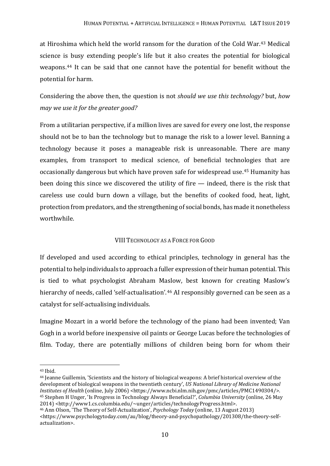at Hiroshima which held the world ransom for the duration of the Cold War. [43](#page-12-0) Medical science is busy extending people's life but it also creates the potential for biological weapons.[44](#page-12-1) It can be said that one cannot have the potential for benefit without the potential for harm.

Considering the above then, the question is not *should we use this technology?* but, *how may we use it for the greater good?* 

From a utilitarian perspective, if a million lives are saved for every one lost, the response should not be to ban the technology but to manage the risk to a lower level. Banning a technology because it poses a manageable risk is unreasonable. There are many examples, from transport to medical science, of beneficial technologies that are occasionally dangerous but which have proven safe for widespread use.[45](#page-12-2) Humanity has been doing this since we discovered the utility of fire — indeed, there is the risk that careless use could burn down a village, but the benefits of cooked food, heat, light, protection from predators, and the strengthening of social bonds, has made it nonetheless worthwhile.

## VIII TECHNOLOGY AS A FORCE FOR GOOD

If developed and used according to ethical principles, technology in general has the potential to help individuals to approach a fuller expression of their human potential. This is tied to what psychologist Abraham Maslow, best known for creating Maslow's hierarchy of needs, called 'self-actualisation'.<sup>[46](#page-12-3)</sup> AI responsibly governed can be seen as a catalyst for self-actualising individuals.

Imagine Mozart in a world before the technology of the piano had been invented; Van Gogh in a world before inexpensive oil paints or George Lucas before the technologies of film. Today, there are potentially millions of children being born for whom their

<span id="page-12-0"></span> <sup>43</sup> Ibid.

<span id="page-12-1"></span><sup>44</sup> Jeanne Guillemin, 'Scientists and the history of biological weapons: A brief historical overview of the development of biological weapons in the twentieth century', *US National Library of Medicine National Institutes of Health* (online, July 2006) <https://www.ncbi.nlm.nih.gov/pmc/articles/PMC1490304/>. <sup>45</sup> Stephen H Unger, 'Is Progress in Technology Always Beneficial?', *Columbia University* (online, 26 May 2014) <http://www1.cs.columbia.edu/~unger/articles/technologyProgress.html>.

<span id="page-12-3"></span><span id="page-12-2"></span><sup>46</sup> Ann Olson, 'The Theory of Self-Actualization', *Psychology Today* (online, 13 August 2013) <https://www.psychologytoday.com/au/blog/theory-and-psychopathology/201308/the-theory-selfactualization>.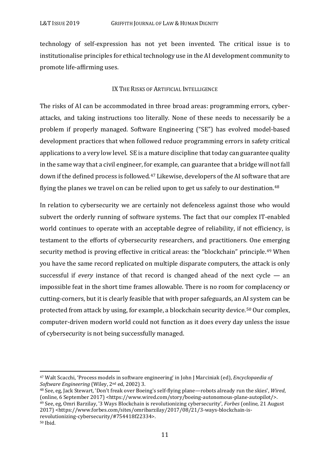technology of self-expression has not yet been invented. The critical issue is to institutionalise principles for ethical technology use in the AI development community to promote life-affirming uses.

### IX THE RISKS OF ARTIFICIAL INTELLIGENCE

The risks of AI can be accommodated in three broad areas: programming errors, cyberattacks, and taking instructions too literally. None of these needs to necessarily be a problem if properly managed. Software Engineering ("SE") has evolved model-based development practices that when followed reduce programming errors in safety critical applications to a very low level. SE is a mature discipline that today can guarantee quality in the same way that a civil engineer, for example, can guarantee that a bridge will not fall down if the defined process is followed.[47](#page-13-0) Likewise, developers of the AI software that are flying the planes we travel on can be relied upon to get us safely to our destination.<sup>[48](#page-13-1)</sup>

In relation to cybersecurity we are certainly not defenceless against those who would subvert the orderly running of software systems. The fact that our complex IT-enabled world continues to operate with an acceptable degree of reliability, if not efficiency, is testament to the efforts of cybersecurity researchers, and practitioners. One e[m](#page-13-2)erging security method is proving effective in critical areas: the "blockchain" principle. <sup>49</sup> When you have the same record replicated on multiple disparate computers, the attack is only successful if *every* instance of that record is changed ahead of the next cycle — an impossible feat in the short time frames allowable. There is no room for complacency or cutting-corners, but it is clearly feasible that with proper safeguards, an AI system can be protected from attack by using, for example, a blockchain security device.[50](#page-13-3) Our complex, computer-driven modern world could not function as it does every day unless the issue of cybersecurity is not being successfully managed.

<span id="page-13-0"></span> <sup>47</sup> Walt Scacchi, 'Process models in software engineering' in John J Marciniak (ed), *Encyclopaedia of Software Engineering* (Wiley, 2nd ed, 2002) 3.

<span id="page-13-3"></span><span id="page-13-2"></span><span id="page-13-1"></span><sup>48</sup> See, eg, Jack Stewart, 'Don't freak over Boeing's self-flying plane—robots already run the skies', *Wired*, (online, 6 September 2017) <https://www.wired.com/story/boeing-autonomous-plane-autopilot/>. <sup>49</sup> See, eg, Omri Barzilay, '3 Ways Blockchain is revolutionizing cybersecurity', *Forbes* (online, 21 August 2017) <https://www.forbes.com/sites/omribarzilay/2017/08/21/3-ways-blockchain-isrevolutionizing-cybersecurity/#754418f22334>.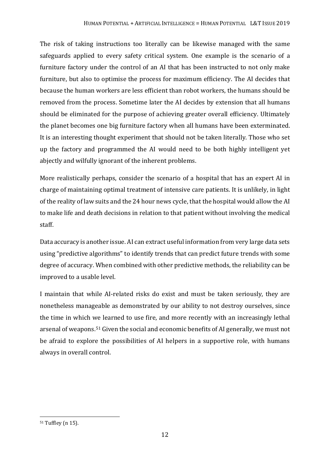The risk of taking instructions too literally can be likewise managed with the same safeguards applied to every safety critical system. One example is the scenario of a furniture factory under the control of an AI that has been instructed to not only make furniture, but also to optimise the process for maximum efficiency. The AI decides that because the human workers are less efficient than robot workers, the humans should be removed from the process. Sometime later the AI decides by extension that all humans should be eliminated for the purpose of achieving greater overall efficiency. Ultimately the planet becomes one big furniture factory when all humans have been exterminated. It is an interesting thought experiment that should not be taken literally. Those who set up the factory and programmed the AI would need to be both highly intelligent yet abjectly and wilfully ignorant of the inherent problems.

More realistically perhaps, consider the scenario of a hospital that has an expert AI in charge of maintaining optimal treatment of intensive care patients. It is unlikely, in light of the reality of law suits and the 24 hour news cycle, that the hospital would allow the AI to make life and death decisions in relation to that patient without involving the medical staff.

Data accuracy is another issue. AI can extract useful information from very large data sets using "predictive algorithms" to identify trends that can predict future trends with some degree of accuracy. When combined with other predictive methods, the reliability can be improved to a usable level.

I maintain that while AI-related risks do exist and must be taken seriously, they are nonetheless manageable as demonstrated by our ability to not destroy ourselves, since the time in which we learned to use fire, and more recently with an increasingly lethal arsenal of weapons.[51](#page-14-0) Given the social and economic benefits of AI generally, we must not be afraid to explore the possibilities of AI helpers in a supportive role, with humans always in overall control.

<span id="page-14-0"></span> <sup>51</sup> Tuffley (n 15).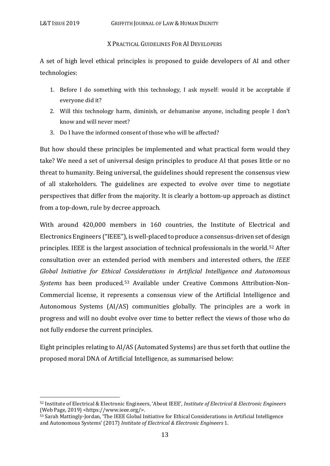#### X PRACTICAL GUIDELINES FOR AI DEVELOPERS

A set of high level ethical principles is proposed to guide developers of AI and other technologies:

- 1. Before I do something with this technology, I ask myself: would it be acceptable if everyone did it?
- 2. Will this technology harm, diminish, or dehumanise anyone, including people I don't know and will never meet?
- 3. Do I have the informed consent of those who will be affected?

But how should these principles be implemented and what practical form would they take? We need a set of universal design principles to produce AI that poses little or no threat to humanity. Being universal, the guidelines should represent the consensus view of all stakeholders. The guidelines are expected to evolve over time to negotiate perspectives that differ from the majority. It is clearly a bottom-up approach as distinct from a top-down, rule by decree approach.

With around 420,000 members in 160 countries, the Institute of Electrical and Electronics Engineers ("IEEE"), is well-placed to produce a consensus-driven set of design principles. IEEE is the largest association of technical professionals in the world.[52](#page-15-0) After consultation over an extended period with members and interested others, the *IEEE Global Initiative for Ethical Considerations in Artificial Intelligence and Autonomous Systems* has been produced.[53](#page-15-1) Available under Creative Commons Attribution-Non-Commercial license, it represents a consensus view of the Artificial Intelligence and Autonomous Systems (AI/AS) communities globally. The principles are a work in progress and will no doubt evolve over time to better reflect the views of those who do not fully endorse the current principles.

Eight principles relating to AI/AS (Automated Systems) are thus set forth that outline the proposed moral DNA of Artificial Intelligence, as summarised below:

<span id="page-15-0"></span> <sup>52</sup> Institute of Electrical & Electronic Engineers, 'About IEEE'*, Institute of Electrical & Electronic Engineers* (Web Page, 2019) <https://www.ieee.org/>.

<span id="page-15-1"></span><sup>53</sup> Sarah Mattingly-Jordan, 'The IEEE Global Initiative for Ethical Considerations in Artificial Intelligence and Autonomous Systems' (2017) *Institute of Electrical & Electronic Engineers* 1.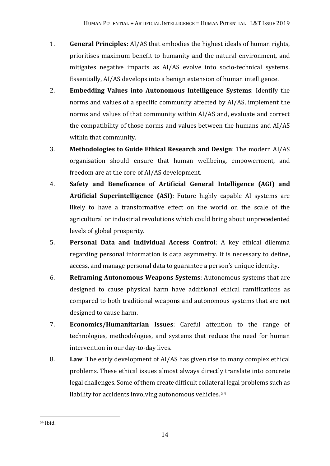- 1. **General Principles**: AI/AS that embodies the highest ideals of human rights, prioritises maximum benefit to humanity and the natural environment, and mitigates negative impacts as AI/AS evolve into socio-technical systems. Essentially, AI/AS develops into a benign extension of human intelligence.
- 2. **Embedding Values into Autonomous Intelligence Systems**: Identify the norms and values of a specific community affected by AI/AS, implement the norms and values of that community within AI/AS and, evaluate and correct the compatibility of those norms and values between the humans and AI/AS within that community.
- 3. **Methodologies to Guide Ethical Research and Design**: The modern AI/AS organisation should ensure that human wellbeing, empowerment, and freedom are at the core of AI/AS development.
- 4. **Safety and Beneficence of Artificial General Intelligence (AGI) and Artificial Superintelligence (ASI)**: Future highly capable AI systems are likely to have a transformative effect on the world on the scale of the agricultural or industrial revolutions which could bring about unprecedented levels of global prosperity.
- 5. **Personal Data and Individual Access Control**: A key ethical dilemma regarding personal information is data asymmetry. It is necessary to define, access, and manage personal data to guarantee a person's unique identity.
- 6. **Reframing Autonomous Weapons Systems**: Autonomous systems that are designed to cause physical harm have additional ethical ramifications as compared to both traditional weapons and autonomous systems that are not designed to cause harm.
- 7. **Economics/Humanitarian Issues**: Careful attention to the range of technologies, methodologies, and systems that reduce the need for human intervention in our day-to-day lives.
- 8. **Law**: The early development of AI/AS has given rise to many complex ethical problems. These ethical issues almost always directly translate into concrete legal challenges. Some of them create difficult collater[al](#page-16-0) legal problems such as liability for accidents involving autonomous vehicles. <sup>54</sup>

<span id="page-16-0"></span> <sup>54</sup> Ibid.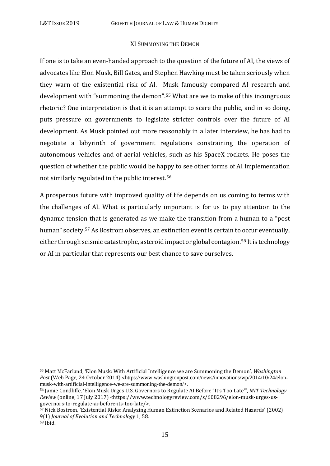#### XI SUMMONING THE DEMON

If one is to take an even-handed approach to the question of the future of AI, the views of advocates like Elon Musk, Bill Gates, and Stephen Hawking must be taken seriously when they warn of the existential risk of AI. [Mu](#page-17-0)sk famously compared AI research and development with "summoning the demon". <sup>55</sup> What are we to make of this incongruous rhetoric? One interpretation is that it is an attempt to scare the public, and in so doing, puts pressure on governments to legislate stricter controls over the future of AI development. As Musk pointed out more reasonably in a later interview, he has had to negotiate a labyrinth of government regulations constraining the operation of autonomous vehicles and of aerial vehicles, such as his SpaceX rockets. He poses the question of whether the public would be ha[ppy](#page-17-1) to see other forms of AI implementation not similarly regulated in the public interest. 56

A prosperous future with improved quality of life depends on us coming to terms with the challenges of AI. What is particularly important is for us to pay attention to the dynamic tension that is generated as we make the transition from a human to a "post human" society.<sup>57</sup> As Bostrom observes, an extinction event is certain to occur eventually, either through seismic catastrophe, asteroid impact or global contagion.[58](#page-17-3) It is technology or AI in particular that represents our best chance to save ourselves.

<span id="page-17-0"></span> <sup>55</sup> Matt McFarland, 'Elon Musk: With Artificial Intelligence we are Summoning the Demon', *Washington*  Post (Web Page, 24 October 2014) <[https://www.washingtonpost.com/news/innovations/wp/2014/10/24/elon](https://www.washingtonpost.com/news/innovations/wp/2014/10/24/elon-musk-with-artificial-intelligence-we-are-summoning-the-demon/)[musk-with-artificial-intelligence-we-are-summoning-the-demon/>](https://www.washingtonpost.com/news/innovations/wp/2014/10/24/elon-musk-with-artificial-intelligence-we-are-summoning-the-demon/).

<span id="page-17-1"></span><sup>56</sup> Jamie Condliffe, 'Elon Musk Urges U.S. Governors to Regulate AI Before "It's Too Late"', *MIT Technology Review* (online, 17 July 2017) [<https://www.technologyreview.com/s/608296/elon-musk-urges-us](https://www.technologyreview.com/s/608296/elon-musk-urges-us-governors-to-regulate-ai-before-its-too-late/)[governors-to-regulate-ai-before-its-too-late/>](https://www.technologyreview.com/s/608296/elon-musk-urges-us-governors-to-regulate-ai-before-its-too-late/).

<span id="page-17-3"></span><span id="page-17-2"></span><sup>57</sup> Nick Bostrom, 'Existential Risks: Analyzing Human Extinction Scenarios and Related Hazards' (2002) 9(1) *Journal of Evolution and Technology* 1, 58.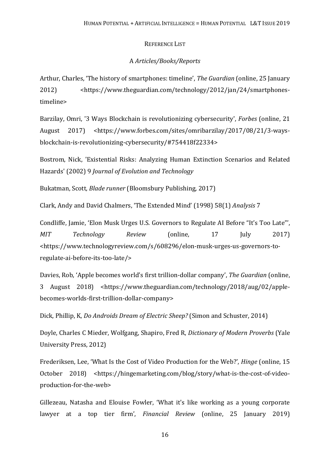#### REFERENCE LIST

## A *Articles/Books/Reports*

Arthur, Charles, 'The history of smartphones: timeline', *The Guardian* (online, 25 January 2012) <https://www.theguardian.com/technology/2012/jan/24/smartphonestimeline>

Barzilay, Omri, '3 Ways Blockchain is revolutionizing cybersecurity', *Forbes* (online, 21 August 2017) <https://www.forbes.com/sites/omribarzilay/2017/08/21/3-waysblockchain-is-revolutionizing-cybersecurity/#754418f22334>

Bostrom, Nick, 'Existential Risks: Analyzing Human Extinction Scenarios and Related Hazards' (2002) 9 *Journal of Evolution and Technology*

Bukatman, Scott*, Blade runner* (Bloomsbury Publishing, 2017)

Clark, Andy and David Chalmers, 'The Extended Mind' (1998) 58(1) *Analysis* 7

Condliffe, Jamie, 'Elon Musk Urges U.S. Governors to Regulate AI Before "It's Too Late"', *MIT Technology Review* (online, 17 July 2017) [<https://www.technologyreview.com/s/608296/elon-musk-urges-us-governors-to](https://www.technologyreview.com/s/608296/elon-musk-urges-us-governors-to-regulate-ai-before-its-too-late/)[regulate-ai-before-its-too-late/>](https://www.technologyreview.com/s/608296/elon-musk-urges-us-governors-to-regulate-ai-before-its-too-late/)

Davies, Rob, 'Apple becomes world's first trillion-dollar company', *The Guardian* (online, 3 August 2018) <https://www.theguardian.com/technology/2018/aug/02/applebecomes-worlds-first-trillion-dollar-company>

Dick, Phillip, K, *Do Androids Dream of Electric Sheep?* (Simon and Schuster, 2014)

Doyle, Charles C Mieder, Wolfgang, Shapiro, Fred R, *Dictionary of Modern Proverbs* (Yale University Press, 2012)

Frederiksen, Lee, 'What Is the Cost of Video Production for the Web?', *Hinge* (online, 15 October 2018) <https://hingemarketing.com/blog/story/what-is-the-cost-of-videoproduction-for-the-web>

Gillezeau, Natasha and Elouise Fowler, 'What it's like working as a young corporate lawyer at a top tier firm', *Financial Review* (online, 25 January 2019)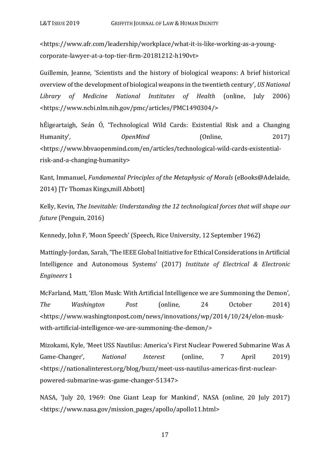<https://www.afr.com/leadership/workplace/what-it-is-like-working-as-a-youngcorporate-lawyer-at-a-top-tier-firm-20181212-h190vt>

Guillemin, Jeanne, 'Scientists and the history of biological weapons: A brief historical overview of the development of biological weapons in the twentieth century', *US National Library of Medicine National Institutes of Health* (online, July 2006) <https://www.ncbi.nlm.nih.gov/pmc/articles/PMC1490304/>

hÉigeartaigh, Seán Ó, 'Technological Wild Cards: Existential Risk and a Changing Humanity'*, OpenMind* (Online, 2017) <https://www.bbvaopenmind.com/en/articles/technological-wild-cards-existentialrisk-and-a-changing-humanity>

Kant, Immanuel, *Fundamental Principles of the Metaphysic of Morals* (eBooks@Adelaide, 2014) [Tr Thomas Kings,mill Abbott]

Kelly, Kevin*, The Inevitable: Understanding the 12 technological forces that will shape our future* (Penguin, 2016)

Kennedy, John F, 'Moon Speech' (Speech, Rice University, 12 September 1962)

Mattingly-Jordan, Sarah, 'The IEEE Global Initiative for Ethical Considerations in Artificial Intelligence and Autonomous Systems' (2017) *Institute of Electrical & Electronic Engineers* 1

McFarland, Matt, 'Elon Musk: With Artificial Intelligence we are Summoning the Demon', *The Washington Post* (online, 24 October 2014) [<https://www.washingtonpost.com/news/innovations/wp/2014/10/24/elon-musk](https://www.washingtonpost.com/news/innovations/wp/2014/10/24/elon-musk-with-artificial-intelligence-we-are-summoning-the-demon/)[with-artificial-intelligence-we-are-summoning-the-demon/>](https://www.washingtonpost.com/news/innovations/wp/2014/10/24/elon-musk-with-artificial-intelligence-we-are-summoning-the-demon/)

Mizokami, Kyle, 'Meet USS Nautilus: America's First Nuclear Powered Submarine Was A Game-Changer', *National Interest* (online, 7 April 2019) <https://nationalinterest.org/blog/buzz/meet-uss-nautilus-americas-first-nuclearpowered-submarine-was-game-changer-51347>

NASA, 'July 20, 1969: One Giant Leap for Mankind', NASA (online, 20 July 2017) <https://www.nasa.gov/mission\_pages/apollo/apollo11.html>

17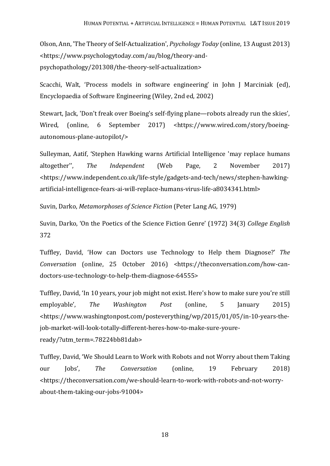Olson, Ann, 'The Theory of Self-Actualization', *Psychology Today* (online, 13 August 2013) <https://www.psychologytoday.com/au/blog/theory-andpsychopathology/201308/the-theory-self-actualization>

Scacchi, Walt, 'Process models in software engineering' in John J Marciniak (ed), Encyclopaedia of Software Engineering (Wiley, 2nd ed, 2002)

Stewart, Jack, 'Don't freak over Boeing's self-flying plane—robots already run the skies', Wired, (online, 6 September 2017) <https://www.wired.com/story/boeingautonomous-plane-autopilot/>

Sulleyman, Aatif, 'Stephen Hawking warns Artificial Intelligence 'may replace humans altogether'', *The Independent* (Web Page, 2 November 2017) <https://www.independent.co.uk/life-style/gadgets-and-tech/news/stephen-hawkingartificial-intelligence-fears-ai-will-replace-humans-virus-life-a8034341.html>

Suvin, Darko, *Metamorphoses of Science Fiction* (Peter Lang AG, 1979)

Suvin, Darko, 'On the Poetics of the Science Fiction Genre' (1972) 34(3) *College English* 372

Tuffley, David, 'How can Doctors use Technology to Help them Diagnose?' *The Conversation* (online, 25 October 2016) [<https://theconversation.com/how-can](https://theconversation.com/how-can-doctors-use-technology-to-help-them-diagnose-64555)[doctors-use-technology-to-help-them-diagnose-64555>](https://theconversation.com/how-can-doctors-use-technology-to-help-them-diagnose-64555)

Tuffley, David, 'In 10 years, your job might not exist. Here's how to make sure you're still employable', *The Washington Post* (online, 5 January 2015) <https://www.washingtonpost.com/posteverything/wp/2015/01/05/in-10-years-thejob-market-will-look-totally-different-heres-how-to-make-sure-youreready/?utm\_term=.78224bb81dab>

Tuffley, David, 'We Should Learn to Work with Robots and not Worry about them Taking our Jobs', *The Conversation* (online, 19 February 2018) [<https://theconversation.com/we-should-learn-to-work-with-robots-and-not-worry](https://theconversation.com/we-should-learn-to-work-with-robots-and-not-worry-about-them-taking-our-jobs-91004)[about-them-taking-our-jobs-91004>](https://theconversation.com/we-should-learn-to-work-with-robots-and-not-worry-about-them-taking-our-jobs-91004)

18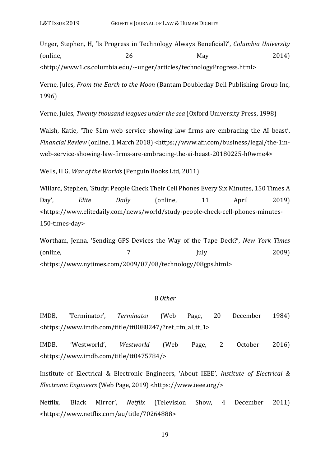Unger, Stephen, H, 'Is Progress in Technology Always Beneficial?', *Columbia University*  $\text{[online]}$  26 May 2014) <http://www1.cs.columbia.edu/~unger/articles/technologyProgress.html>

Verne, Jules, *From the Earth to the Moon* (Bantam Doubleday Dell Publishing Group Inc, 1996)

Verne, Jules, *Twenty thousand leagues under the sea* (Oxford University Press, 1998)

Walsh, Katie, 'The \$1m web service showing law firms are embracing the AI beast', *Financial Review* (online, 1 March 2018) <https://www.afr.com/business/legal/the-1mweb-service-showing-law-firms-are-embracing-the-ai-beast-20180225-h0wme4>

Wells, H G, *War of the Worlds* (Penguin Books Ltd, 2011)

Willard, Stephen, 'Study: People Check Their Cell Phones Every Six Minutes, 150 Times A Day', *Elite Daily* (online, 11 April 2019) <https://www.elitedaily.com/news/world/study-people-check-cell-phones-minutes-150-times-day>

Wortham, Jenna, 'Sending GPS Devices the Way of the Tape Deck?', *New York Times*  $\text{July}$  2009) <https://www.nytimes.com/2009/07/08/technology/08gps.html>

#### B *Other*

IMDB, 'Terminator', *Terminator* (Web Page, 20 December 1984) <https://www.imdb.com/title/tt0088247/?ref\_=fn\_al\_tt\_1>

IMDB, 'Westworld', *Westworld* (Web Page, 2 October 2016) <https://www.imdb.com/title/tt0475784/>

Institute of Electrical & Electronic Engineers, 'About IEEE'*, Institute of Electrical & Electronic Engineers* (Web Page, 2019) <https://www.ieee.org/>

Netflix, 'Black Mirror', *Netflix* (Television Show, 4 December 2011) <https://www.netflix.com/au/title/70264888>

19